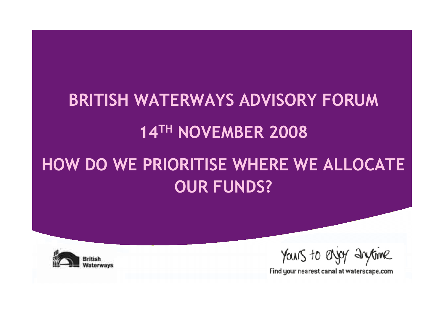## **BRITISH WATERWAYS ADVISORY FORUM**

### 14TH NOVEMBER 2008

### HOW DO WE PRIORITISE WHERE WE ALLOCATE **OUR FUNDS?**



Yours to enjoy anytime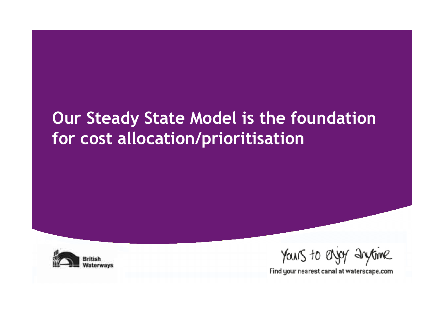### Our Steady State Model is the foundation for cost allocation/prioritisation



Yours to enjoy anytime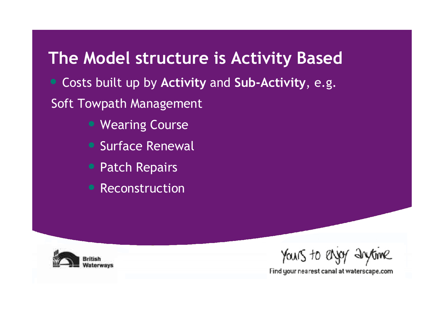#### The Model structure is Activity Based

• Costs built up by Activity and Sub-Activity, e.g.

**Soft Towpath Management** 

- Wearing Course
- **Surface Renewal**
- **Patch Repairs**
- Reconstruction



YOURS to enjoy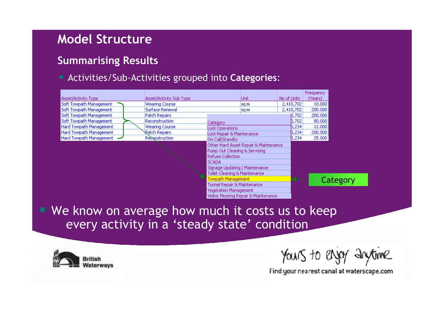#### **Model Structure**

#### **Summarising Results**

#### • Activities/Sub-Activities grouped into Categories:

|                         |                         |                               |                                       |             |           | Frequency |  |
|-------------------------|-------------------------|-------------------------------|---------------------------------------|-------------|-----------|-----------|--|
| Asset/Activity Type:    | Asset/Activity Sub Type |                               |                                       | No of Units |           | 'Years)   |  |
| Soft Towpath Management | Wearing Course          |                               | isa m                                 |             | 2,410,702 | 10,000    |  |
| Soft Towpath Management | Surface Renewal         |                               | isa m                                 |             | 2,410,702 | 200,000   |  |
| Soft Towpath Management | Patch Repairs           |                               |                                       |             | D.702     | 200,000   |  |
| Soft Towpath Management | Reconstruction          | Iategory                      |                                       |             | 702       | 80,000    |  |
| Hard Towpath Management | Wearing Course          | Lock Operations               |                                       |             | 234       | 12,000    |  |
| Hard Towpath Management | Ratch Repairs           | Lock Repair & Maintenance     |                                       |             | 234       | 200,000   |  |
| Hard Towpath Management | Reconstruction          | On Call/Standby               |                                       |             | ,234      | 25,000    |  |
|                         |                         |                               | Other Hard Asset Repair & Maintenance |             |           |           |  |
|                         |                         | Pump Out Cleaning & Servicing |                                       |             |           |           |  |
|                         |                         | <b>Refuse Collection</b>      |                                       |             |           |           |  |
|                         |                         | <b>SCADA</b>                  |                                       |             |           |           |  |
|                         |                         |                               | Signage Updating / Maintenance        |             |           |           |  |
|                         |                         | Toilet Cleaning & Maintenance |                                       |             |           |           |  |
|                         |                         |                               |                                       |             |           | Category  |  |
|                         |                         | Tunnel Repair & Maintenance   |                                       |             |           |           |  |
|                         |                         | <b>Vegetation Management</b>  |                                       |             |           |           |  |

• We know on average how much it costs us to keep every activity in a 'steady state' condition

Visitor Mooring Repair & Maintenance



Yours to enjoy anythine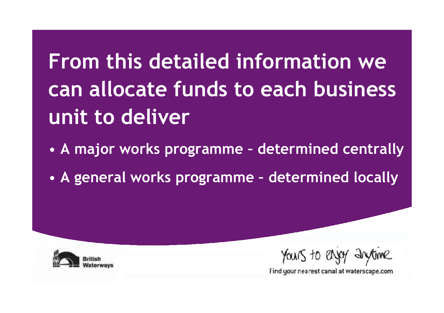# From this detailed information we can allocate funds to each business unit to deliver

- A major works programme determined centrally
- A general works programme determined locally



YOUNS to enjoy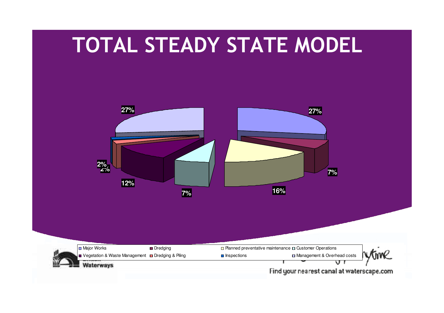### TOTAL STEADY STATE MODEL

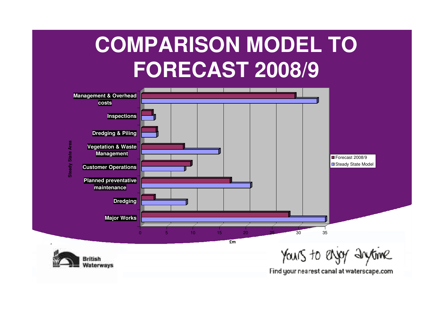## **COMPARISON MODEL TO FORECAST 2008/9**

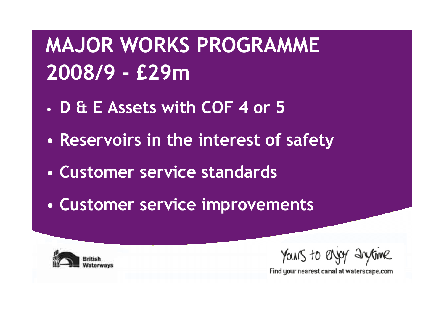# **MAJOR WORKS PROGRAMME** 2008/9 - £29m

- D & E Assets with COF 4 or 5
- Reservoirs in the interest of safety
- Customer service standards
- Customer service improvements



Yours to enjoy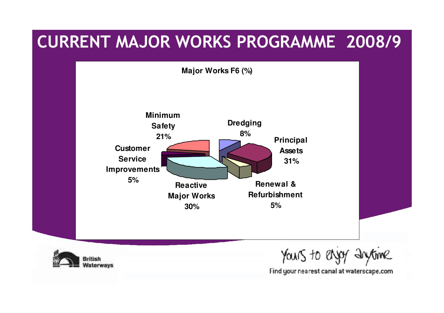#### CURRENT MAJOR WORKS PROGRAMME 2008/9

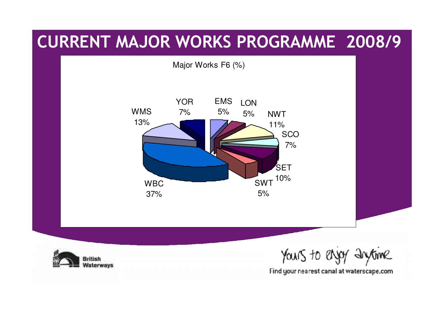#### CURRENT MAJOR WORKS PROGRAMME 2008/9

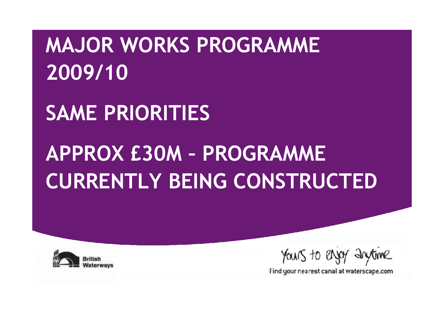## **MAJOR WORKS PROGRAMME** 2009/10

## **SAME PRIORITIES**

# **APPROX £30M - PROGRAMME CURRENTLY BEING CONSTRUCTED**



Yours to enjoy anythme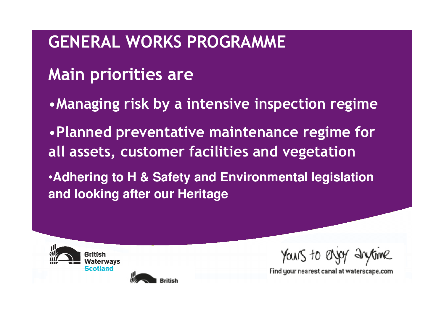### **GENERAL WORKS PROGRAMME**

### **Main priorities are**

- Managing risk by a intensive inspection regime
- . Planned preventative maintenance regime for all assets, customer facilities and vegetation
- **Adhering to H & Safety and Environmental legislation** and looking after our Heritage



Yours to en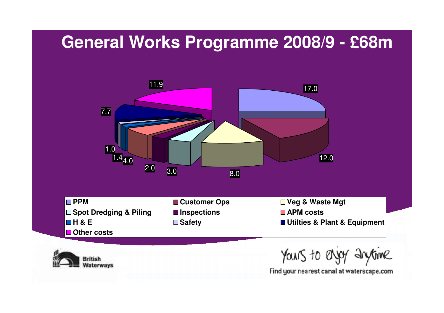### **General Works Programme 2008/9 - £68m**